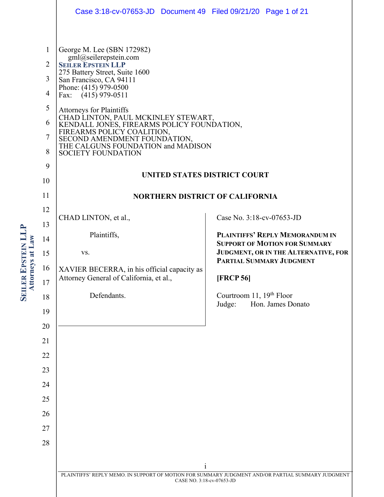|                                                                                | Case 3:18-cv-07653-JD Document 49 Filed 09/21/20 Page 1 of 21                                                                                                                                                                                                                                                                                                                                                                                                                              |                                                                              |
|--------------------------------------------------------------------------------|--------------------------------------------------------------------------------------------------------------------------------------------------------------------------------------------------------------------------------------------------------------------------------------------------------------------------------------------------------------------------------------------------------------------------------------------------------------------------------------------|------------------------------------------------------------------------------|
| $\mathbf{1}$<br>$\overline{2}$<br>3<br>$\overline{4}$<br>5<br>6<br>7<br>8<br>9 | George M. Lee (SBN 172982)<br>gml@seilerepstein.com<br><b>SEILER EPSTEIN LLP</b><br>275 Battery Street, Suite 1600<br>San Francisco, CA 94111<br>Phone: (415) 979-0500<br>Fax: (415) 979-0511<br><b>Attorneys for Plaintiffs</b><br>CHAD LINTON, PAUL MCKINLEY STEWART,<br>KENDALL JONES, FIREARMS POLICY FOUNDATION,<br>FIREARMS POLICY COALITION, SECOND AMENDMENT FOUNDATION,<br>THE CALGUNS FOUNDATION and MADISON<br><b>SOCIETY FOUNDATION</b><br><b>UNITED STATES DISTRICT COURT</b> |                                                                              |
| 10                                                                             |                                                                                                                                                                                                                                                                                                                                                                                                                                                                                            |                                                                              |
| 11                                                                             | <b>NORTHERN DISTRICT OF CALIFORNIA</b>                                                                                                                                                                                                                                                                                                                                                                                                                                                     |                                                                              |
| 12                                                                             | CHAD LINTON, et al.,                                                                                                                                                                                                                                                                                                                                                                                                                                                                       | Case No. 3:18-cv-07653-JD                                                    |
| 13<br>14                                                                       | Plaintiffs,                                                                                                                                                                                                                                                                                                                                                                                                                                                                                | <b>PLAINTIFFS' REPLY MEMORANDUM IN</b>                                       |
| 15                                                                             | VS.                                                                                                                                                                                                                                                                                                                                                                                                                                                                                        | <b>SUPPORT OF MOTION FOR SUMMARY</b><br>JUDGMENT, OR IN THE ALTERNATIVE, FOR |
| 16                                                                             | XAVIER BECERRA, in his official capacity as                                                                                                                                                                                                                                                                                                                                                                                                                                                | PARTIAL SUMMARY JUDGMENT                                                     |
| $17\,$                                                                         | Attorney General of California, et al.,                                                                                                                                                                                                                                                                                                                                                                                                                                                    | <b>[FRCP 56]</b>                                                             |
| 18                                                                             | Defendants.                                                                                                                                                                                                                                                                                                                                                                                                                                                                                | Courtroom 11, 19 <sup>th</sup> Floor<br>Hon. James Donato                    |
| 19                                                                             |                                                                                                                                                                                                                                                                                                                                                                                                                                                                                            | Judge:                                                                       |
| 20                                                                             |                                                                                                                                                                                                                                                                                                                                                                                                                                                                                            |                                                                              |
| 21                                                                             |                                                                                                                                                                                                                                                                                                                                                                                                                                                                                            |                                                                              |
| 22                                                                             |                                                                                                                                                                                                                                                                                                                                                                                                                                                                                            |                                                                              |
| 23                                                                             |                                                                                                                                                                                                                                                                                                                                                                                                                                                                                            |                                                                              |
| 24                                                                             |                                                                                                                                                                                                                                                                                                                                                                                                                                                                                            |                                                                              |
| 25                                                                             |                                                                                                                                                                                                                                                                                                                                                                                                                                                                                            |                                                                              |
| 26                                                                             |                                                                                                                                                                                                                                                                                                                                                                                                                                                                                            |                                                                              |
| 27                                                                             |                                                                                                                                                                                                                                                                                                                                                                                                                                                                                            |                                                                              |
| 28                                                                             |                                                                                                                                                                                                                                                                                                                                                                                                                                                                                            |                                                                              |
|                                                                                | i                                                                                                                                                                                                                                                                                                                                                                                                                                                                                          |                                                                              |
|                                                                                | PLAINTIFFS' REPLY MEMO. IN SUPPORT OF MOTION FOR SUMMARY JUDGMENT AND/OR PARTIAL SUMMARY JUDGMENT<br>CASE NO. 3:18-cv-07653-JD                                                                                                                                                                                                                                                                                                                                                             |                                                                              |
|                                                                                |                                                                                                                                                                                                                                                                                                                                                                                                                                                                                            |                                                                              |

**SEILER EPSTEIN LLP Attorneys at Law**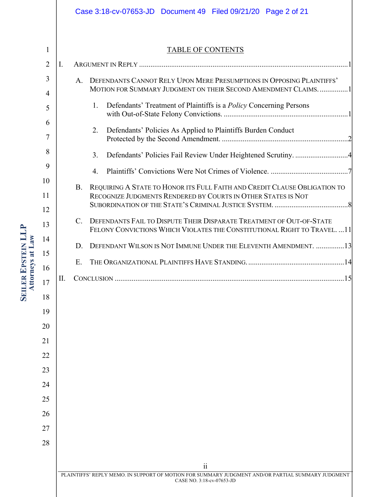# Case 3:18-cv-07653-JD Document 49 Filed 09/21/20 Page 2 of 21

TABLE OF CONTENTS

| $\overline{2}$      | I. |                 |                                                                                                                                                   |  |
|---------------------|----|-----------------|---------------------------------------------------------------------------------------------------------------------------------------------------|--|
| 3<br>$\overline{4}$ |    | A.              | DEFENDANTS CANNOT RELY UPON MERE PRESUMPTIONS IN OPPOSING PLAINTIFFS'<br>MOTION FOR SUMMARY JUDGMENT ON THEIR SECOND AMENDMENT CLAIMS1            |  |
| 5                   |    |                 | Defendants' Treatment of Plaintiffs is a <i>Policy</i> Concerning Persons<br>1.                                                                   |  |
| 6<br>7              |    |                 | Defendants' Policies As Applied to Plaintiffs Burden Conduct<br>2.                                                                                |  |
| 8                   |    |                 | Defendants' Policies Fail Review Under Heightened Scrutiny. 4<br>3.                                                                               |  |
| 9                   |    |                 | 4.                                                                                                                                                |  |
| 10<br>11            |    | <b>B.</b>       | REQUIRING A STATE TO HONOR ITS FULL FAITH AND CREDIT CLAUSE OBLIGATION TO<br>RECOGNIZE JUDGMENTS RENDERED BY COURTS IN OTHER STATES IS NOT        |  |
| 12                  |    |                 |                                                                                                                                                   |  |
| 13                  |    | $\mathcal{C}$ . | DEFENDANTS FAIL TO DISPUTE THEIR DISPARATE TREATMENT OF OUT-OF-STATE<br>FELONY CONVICTIONS WHICH VIOLATES THE CONSTITUTIONAL RIGHT TO TRAVEL.  11 |  |
| 14<br>15            |    | D.              | DEFENDANT WILSON IS NOT IMMUNE UNDER THE ELEVENTH AMENDMENT. 13                                                                                   |  |
| 16                  |    | Ε.              |                                                                                                                                                   |  |
| 17                  | Π. |                 |                                                                                                                                                   |  |
| 18                  |    |                 |                                                                                                                                                   |  |
| 19                  |    |                 |                                                                                                                                                   |  |
| 20                  |    |                 |                                                                                                                                                   |  |
| 21                  |    |                 |                                                                                                                                                   |  |
| 22                  |    |                 |                                                                                                                                                   |  |
| 23                  |    |                 |                                                                                                                                                   |  |
| 24                  |    |                 |                                                                                                                                                   |  |
| 25                  |    |                 |                                                                                                                                                   |  |
| 26                  |    |                 |                                                                                                                                                   |  |
| 27                  |    |                 |                                                                                                                                                   |  |
| 28                  |    |                 |                                                                                                                                                   |  |
|                     |    |                 |                                                                                                                                                   |  |
|                     |    |                 | $\ddot{\mathbf{i}}$<br>PLAINTIFFS' REPLY MEMO. IN SUPPORT OF MOTION FOR SUMMARY JUDGMENT AND/OR PARTIAL SUMMARY JUDGMENT                          |  |
|                     |    |                 | CASE NO. 3:18-cv-07653-JD                                                                                                                         |  |

**SEILER EPSTEIN LLP Attorneys at Law**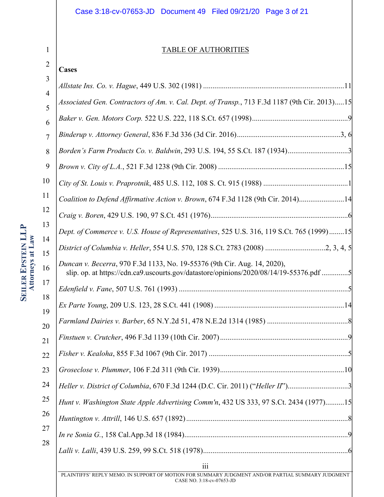#### Case 3:18-cv-07653-JD Document 49 Filed 09/21/20 Page 3 of 21

#### 1 2 3 4 5 6 7 8 9 10 11 12 13 14 15 16 17 18 19 20 21 22 23 24 25 26 27 28 TABLE OF AUTHORITIES **Cases** *Allstate Ins. Co. v. Hague*, 449 U.S. 302 (1981) ...........................................................................11 *Associated Gen. Contractors of Am. v. Cal. Dept. of Transp.*, 713 F.3d 1187 (9th Cir. 2013).....15 *Baker v. Gen. Motors Corp.* 522 U.S. 222, 118 S.Ct. 657 (1998)...................................................9 *Binderup v. Attorney General*, 836 F.3d 336 (3d Cir. 2016).......................................................3, 6 *Borden's Farm Products Co. v. Baldwin*, 293 U.S. 194, 55 S.Ct. 187 (1934)................................3 *Brown v. City of L.A.*, 521 F.3d 1238 (9th Cir. 2008) ...................................................................15 *City of St. Louis v. Praprotnik*, 485 U.S. 112, 108 S. Ct. 915 (1988) .............................................1 *Coalition to Defend Affirmative Action v. Brown*, 674 F.3d 1128 (9th Cir. 2014)........................14 *Craig v. Boren*, 429 U.S. 190, 97 S.Ct. 451 (1976).........................................................................6 *Dept. of Commerce v. U.S. House of Representatives*, 525 U.S. 316, 119 S.Ct. 765 (1999)........15 *District of Columbia v. Heller*, 554 U.S. 570, 128 S.Ct. 2783 (2008) ................................2, 3, 4, 5 *Duncan v. Becerra*, 970 F.3d 1133, No. 19-55376 (9th Cir. Aug. 14, 2020), slip. op. at https://cdn.ca9.uscourts.gov/datastore/opinions/2020/08/14/19-55376.pdf ...............5 *Edenfield v. Fane*, 507 U.S. 761 (1993) ..........................................................................................5 *Ex Parte Young*, 209 U.S. 123, 28 S.Ct. 441 (1908) .....................................................................14 *Farmland Dairies v. Barber*, 65 N.Y.2d 51, 478 N.E.2d 1314 (1985) ...........................................8 *Finstuen v. Crutcher*, 496 F.3d 1139 (10th Cir. 2007)....................................................................9 *Fisher v. Kealoha*, 855 F.3d 1067 (9th Cir. 2017) ..........................................................................5 *Groseclose v. Plummer*, 106 F.2d 311 (9th Cir. 1939)..................................................................10 *Heller v. District of Columbia*, 670 F.3d 1244 (D.C. Cir. 2011) ("*Heller II*")................................3 *Hunt v. Washington State Apple Advertising Comm'n*, 432 US 333, 97 S.Ct. 2434 (1977)..........15 *Huntington v. Attrill*, 146 U.S. 657 (1892)......................................................................................8 *In re Sonia G.*, 158 Cal.App.3d 18 (1984).......................................................................................9 *Lalli v. Lalli*, 439 U.S. 259, 99 S.Ct. 518 (1978).............................................................................6

PLAINTIFFS' REPLY MEMO. IN SUPPORT OF MOTION FOR SUMMARY JUDGMENT AND/OR PARTIAL SUMMARY JUDGMENT CASE NO. 3:18-cv-07653-JD

iii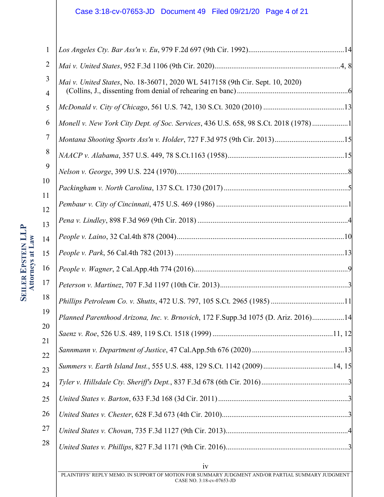# Case 3:18-cv-07653-JD Document 49 Filed 09/21/20 Page 4 of 21

| 1                   |                                                                                      |
|---------------------|--------------------------------------------------------------------------------------|
| $\overline{2}$      |                                                                                      |
| 3<br>$\overline{4}$ | Mai v. United States, No. 18-36071, 2020 WL 5417158 (9th Cir. Sept. 10, 2020)        |
| 5                   |                                                                                      |
| 6                   | Monell v. New York City Dept. of Soc. Services, 436 U.S. 658, 98 S.Ct. 2018 (1978) 1 |
| 7                   |                                                                                      |
| 8                   |                                                                                      |
| 9                   |                                                                                      |
| 10                  |                                                                                      |
| 11<br>12            |                                                                                      |
| 13                  |                                                                                      |
| 14                  |                                                                                      |
| 15                  |                                                                                      |
| 16                  |                                                                                      |
| 17                  |                                                                                      |
| 18                  |                                                                                      |
| 19                  | Planned Parenthood Arizona, Inc. v. Brnovich, 172 F.Supp.3d 1075 (D. Ariz. 2016)14   |
| 20                  |                                                                                      |
| 21<br>22            |                                                                                      |
| 23                  | Summers v. Earth Island Inst., 555 U.S. 488, 129 S.Ct. 1142 (2009)14, 15             |
| 24                  |                                                                                      |
| 25                  |                                                                                      |
| 26                  |                                                                                      |
| 27                  |                                                                                      |
| 28                  |                                                                                      |
|                     |                                                                                      |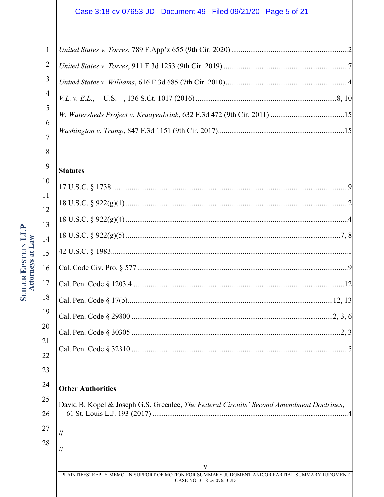# Case 3:18-cv-07653-JD Document 49 Filed 09/21/20 Page 5 of 21

| $\mathbf{1}$  |  |
|---------------|--|
|               |  |
|               |  |
|               |  |
|               |  |
| $\frac{1}{6}$ |  |
|               |  |

# **Statutes**

 $\,$   $\,$ 

9

| 10       |  |
|----------|--|
| 11<br>12 |  |
| 13       |  |
| 14       |  |
| 15       |  |
| 16       |  |
| 17       |  |
| 18       |  |
| 19       |  |
| 20       |  |
| 21<br>22 |  |

#### $24$ Other Authorities

| 25 | David B. Kopel & Joseph G.S. Greenlee, The Federal Circuits' Second Amendment Doctrines, |
|----|------------------------------------------------------------------------------------------|
|    |                                                                                          |
| 27 |                                                                                          |
| 28 |                                                                                          |
|    |                                                                                          |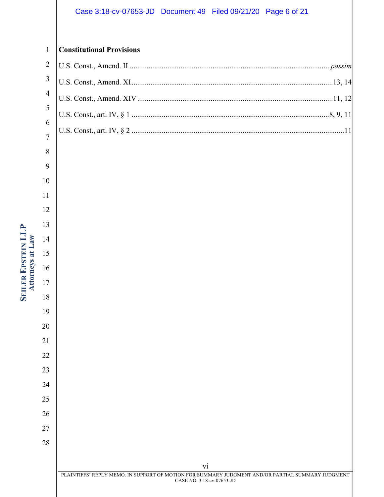# Case 3:18-cv-07653-JD Document 49 Filed 09/21/20 Page 6 of 21

#### 1 **Constitutional Provisions**

| $\,8\,$        |                                                                                                                                |
|----------------|--------------------------------------------------------------------------------------------------------------------------------|
| $\overline{9}$ |                                                                                                                                |
| $10\,$         |                                                                                                                                |
| $11\,$         |                                                                                                                                |
| $12\,$         |                                                                                                                                |
| 13             |                                                                                                                                |
| $14\,$         |                                                                                                                                |
| 15             |                                                                                                                                |
| $16\,$         |                                                                                                                                |
| $17\,$         |                                                                                                                                |
| $18\,$         |                                                                                                                                |
| 19             |                                                                                                                                |
| $20\,$         |                                                                                                                                |
| 21             |                                                                                                                                |
| 22             |                                                                                                                                |
| 23             |                                                                                                                                |
| 24             |                                                                                                                                |
| 25             |                                                                                                                                |
| 26             |                                                                                                                                |
| 27             |                                                                                                                                |
| $28\,$         |                                                                                                                                |
|                | vi                                                                                                                             |
|                | PLAINTIFFS' REPLY MEMO. IN SUPPORT OF MOTION FOR SUMMARY JUDGMENT AND/OR PARTIAL SUMMARY JUDGMENT<br>CASE NO. 3:18-cv-07653-JD |
|                |                                                                                                                                |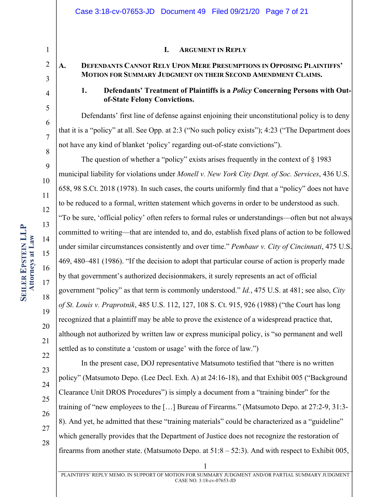#### **I. ARGUMENT IN REPLY**

## **A. DEFENDANTS CANNOT RELY UPON MERE PRESUMPTIONS IN OPPOSING PLAINTIFFS' MOTION FOR SUMMARY JUDGMENT ON THEIR SECOND AMENDMENT CLAIMS.**

### **1. Defendants' Treatment of Plaintiffs is a** *Policy* **Concerning Persons with Outof-State Felony Convictions.**

Defendants' first line of defense against enjoining their unconstitutional policy is to deny that it is a "policy" at all. See Opp. at 2:3 ("No such policy exists"); 4:23 ("The Department does not have any kind of blanket 'policy' regarding out-of-state convictions").

The question of whether a "policy" exists arises frequently in the context of  $\S$  1983 municipal liability for violations under *Monell v. New York City Dept. of Soc. Services*, 436 U.S. 658, 98 S.Ct. 2018 (1978). In such cases, the courts uniformly find that a "policy" does not have to be reduced to a formal, written statement which governs in order to be understood as such. "To be sure, 'official policy' often refers to formal rules or understandings—often but not always committed to writing—that are intended to, and do, establish fixed plans of action to be followed under similar circumstances consistently and over time." *Pembaur v. City of Cincinnati*, 475 U.S. 469, 480–481 (1986). "If the decision to adopt that particular course of action is properly made by that government's authorized decisionmakers, it surely represents an act of official government "policy" as that term is commonly understood." *Id.*, 475 U.S. at 481; see also, *City of St. Louis v. Praprotnik*, 485 U.S. 112, 127, 108 S. Ct. 915, 926 (1988) ("the Court has long recognized that a plaintiff may be able to prove the existence of a widespread practice that, although not authorized by written law or express municipal policy, is "so permanent and well settled as to constitute a 'custom or usage' with the force of law.")

In the present case, DOJ representative Matsumoto testified that "there is no written policy" (Matsumoto Depo. (Lee Decl. Exh. A) at 24:16-18), and that Exhibit 005 ("Background Clearance Unit DROS Procedures") is simply a document from a "training binder" for the training of "new employees to the […] Bureau of Firearms." (Matsumoto Depo. at 27:2-9, 31:3- 8). And yet, he admitted that these "training materials" could be characterized as a "guideline" which generally provides that the Department of Justice does not recognize the restoration of firearms from another state. (Matsumoto Depo. at 51:8 – 52:3). And with respect to Exhibit 005,

1

2

3

4

5

6

7

8

9

10

11

12

13

14

15

16

17

18

19

20

21

22

23

24

25

26

27

28

PLAINTIFFS' REPLY MEMO. IN SUPPORT OF MOTION FOR SUMMARY JUDGMENT AND/OR PARTIAL SUMMARY JUDGMENT CASE NO. 3:18-cv-07653-JD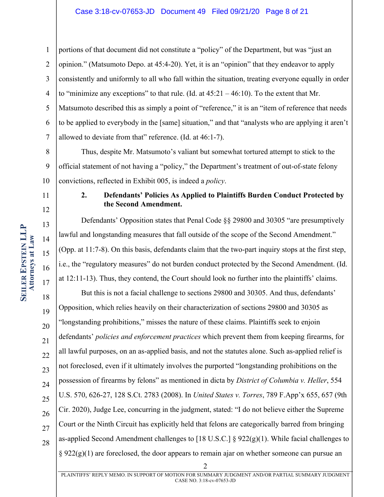1 2 3 4 5 6 7 portions of that document did not constitute a "policy" of the Department, but was "just an opinion." (Matsumoto Depo. at 45:4-20). Yet, it is an "opinion" that they endeavor to apply consistently and uniformly to all who fall within the situation, treating everyone equally in order to "minimize any exceptions" to that rule. (Id. at  $45:21 - 46:10$ ). To the extent that Mr. Matsumoto described this as simply a point of "reference," it is an "item of reference that needs to be applied to everybody in the [same] situation," and that "analysts who are applying it aren't allowed to deviate from that" reference. (Id. at 46:1-7).

8 9 10 Thus, despite Mr. Matsumoto's valiant but somewhat tortured attempt to stick to the official statement of not having a "policy," the Department's treatment of out-of-state felony convictions, reflected in Exhibit 005, is indeed a *policy*.

# **2. Defendants' Policies As Applied to Plaintiffs Burden Conduct Protected by the Second Amendment.**

Defendants' Opposition states that Penal Code §§ 29800 and 30305 "are presumptively lawful and longstanding measures that fall outside of the scope of the Second Amendment." (Opp. at 11:7-8). On this basis, defendants claim that the two-part inquiry stops at the first step, i.e., the "regulatory measures" do not burden conduct protected by the Second Amendment. (Id. at 12:11-13). Thus, they contend, the Court should look no further into the plaintiffs' claims.

18 19 20 21 22 23 24 25 26 27 28 But this is not a facial challenge to sections 29800 and 30305. And thus, defendants' Opposition, which relies heavily on their characterization of sections 29800 and 30305 as "longstanding prohibitions," misses the nature of these claims. Plaintiffs seek to enjoin defendants' *policies and enforcement practices* which prevent them from keeping firearms, for all lawful purposes, on an as-applied basis, and not the statutes alone. Such as-applied relief is not foreclosed, even if it ultimately involves the purported "longstanding prohibitions on the possession of firearms by felons" as mentioned in dicta by *District of Columbia v. Heller*, 554 U.S. 570, 626-27, 128 S.Ct. 2783 (2008). In *United States v. Torres*, 789 F.App'x 655, 657 (9th Cir. 2020), Judge Lee, concurring in the judgment, stated: "I do not believe either the Supreme Court or the Ninth Circuit has explicitly held that felons are categorically barred from bringing as-applied Second Amendment challenges to [18 U.S.C.]  $\S 922(g)(1)$ . While facial challenges to  $\S 922(g)(1)$  are foreclosed, the door appears to remain ajar on whether someone can pursue an

11

12

13

14

15

16

17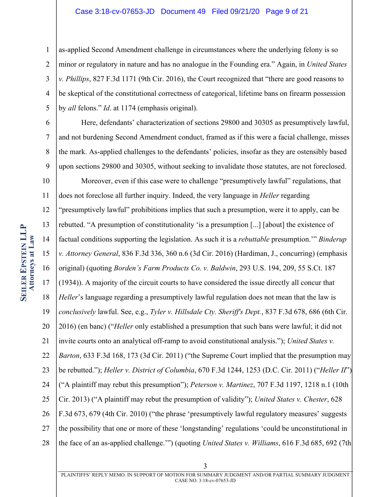#### Case 3:18-cv-07653-JD Document 49 Filed 09/21/20 Page 9 of 21

1 2 3 4 5 as-applied Second Amendment challenge in circumstances where the underlying felony is so minor or regulatory in nature and has no analogue in the Founding era." Again, in *United States v. Phillips*, 827 F.3d 1171 (9th Cir. 2016), the Court recognized that "there are good reasons to be skeptical of the constitutional correctness of categorical, lifetime bans on firearm possession by *all* felons." *Id*. at 1174 (emphasis original).

6 7

8 9 Here, defendants' characterization of sections 29800 and 30305 as presumptively lawful, and not burdening Second Amendment conduct, framed as if this were a facial challenge, misses the mark. As-applied challenges to the defendants' policies, insofar as they are ostensibly based upon sections 29800 and 30305, without seeking to invalidate those statutes, are not foreclosed.

10 11 12 13 14 15 16 17 18 19 20 21 22 23 24 25 26 27 28 Moreover, even if this case were to challenge "presumptively lawful" regulations, that does not foreclose all further inquiry. Indeed, the very language in *Heller* regarding "presumptively lawful" prohibitions implies that such a presumption, were it to apply, can be rebutted. "A presumption of constitutionality 'is a presumption [...] [about] the existence of factual conditions supporting the legislation. As such it is a *rebuttable* presumption.'" *Binderup v. Attorney General*, 836 F.3d 336, 360 n.6 (3d Cir. 2016) (Hardiman, J., concurring) (emphasis original) (quoting *Borden's Farm Products Co. v. Baldwin*, 293 U.S. 194, 209, 55 S.Ct. 187 (1934)). A majority of the circuit courts to have considered the issue directly all concur that *Heller*'s language regarding a presumptively lawful regulation does not mean that the law is *conclusively* lawful. See, e.g., *Tyler v. Hillsdale Cty. Sheriff's Dept.*, 837 F.3d 678, 686 (6th Cir. 2016) (en banc) ("*Heller* only established a presumption that such bans were lawful; it did not invite courts onto an analytical off-ramp to avoid constitutional analysis."); *United States v. Barton*, 633 F.3d 168, 173 (3d Cir. 2011) ("the Supreme Court implied that the presumption may be rebutted."); *Heller v. District of Columbia*, 670 F.3d 1244, 1253 (D.C. Cir. 2011) ("*Heller II*") ("A plaintiff may rebut this presumption"); *Peterson v. Martinez*, 707 F.3d 1197, 1218 n.1 (10th Cir. 2013) ("A plaintiff may rebut the presumption of validity"); *United States v. Chester*, 628 F.3d 673, 679 (4th Cir. 2010) ("the phrase 'presumptively lawful regulatory measures' suggests the possibility that one or more of these 'longstanding' regulations 'could be unconstitutional in the face of an as-applied challenge.'") (quoting *United States v. Williams*, 616 F.3d 685, 692 (7th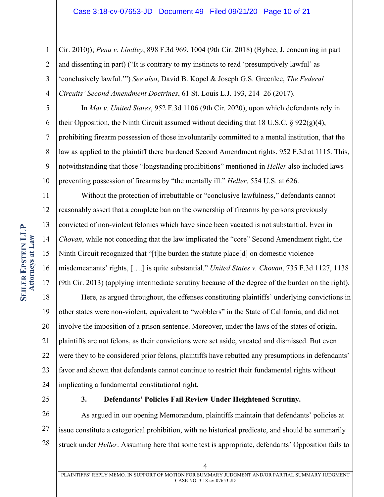1 2 3 4 Cir. 2010)); *Pena v. Lindley*, 898 F.3d 969, 1004 (9th Cir. 2018) (Bybee, J. concurring in part and dissenting in part) ("It is contrary to my instincts to read 'presumptively lawful' as 'conclusively lawful.'") *See also*, David B. Kopel & Joseph G.S. Greenlee, *The Federal Circuits' Second Amendment Doctrines*, 61 St. Louis L.J. 193, 214–26 (2017).

5 6 7 8 9 10 In *Mai v. United States*, 952 F.3d 1106 (9th Cir. 2020), upon which defendants rely in their Opposition, the Ninth Circuit assumed without deciding that 18 U.S.C. § 922 $(g)(4)$ , prohibiting firearm possession of those involuntarily committed to a mental institution, that the law as applied to the plaintiff there burdened Second Amendment rights. 952 F.3d at 1115. This, notwithstanding that those "longstanding prohibitions" mentioned in *Heller* also included laws preventing possession of firearms by "the mentally ill." *Heller*, 554 U.S. at 626.

11 12 13 14 15 16 17 Without the protection of irrebuttable or "conclusive lawfulness," defendants cannot reasonably assert that a complete ban on the ownership of firearms by persons previously convicted of non-violent felonies which have since been vacated is not substantial. Even in *Chovan*, while not conceding that the law implicated the "core" Second Amendment right, the Ninth Circuit recognized that "[t]he burden the statute place[d] on domestic violence misdemeanants' rights, [….] is quite substantial." *United States v. Chovan*, 735 F.3d 1127, 1138 (9th Cir. 2013) (applying intermediate scrutiny because of the degree of the burden on the right).

18 19 20 21 22 23 24 Here, as argued throughout, the offenses constituting plaintiffs' underlying convictions in other states were non-violent, equivalent to "wobblers" in the State of California, and did not involve the imposition of a prison sentence. Moreover, under the laws of the states of origin, plaintiffs are not felons, as their convictions were set aside, vacated and dismissed. But even were they to be considered prior felons, plaintiffs have rebutted any presumptions in defendants' favor and shown that defendants cannot continue to restrict their fundamental rights without implicating a fundamental constitutional right.

25

### **3. Defendants' Policies Fail Review Under Heightened Scrutiny.**

26 27 28 As argued in our opening Memorandum, plaintiffs maintain that defendants' policies at issue constitute a categorical prohibition, with no historical predicate, and should be summarily struck under *Heller*. Assuming here that some test is appropriate, defendants' Opposition fails to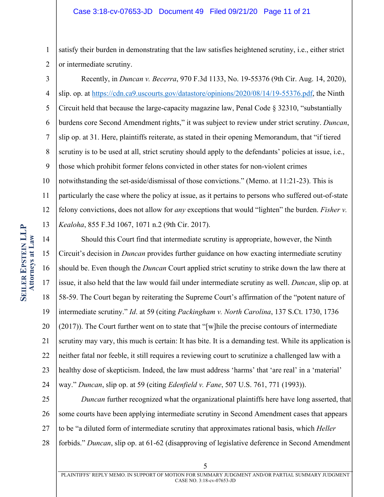#### Case 3:18-cv-07653-JD Document 49 Filed 09/21/20 Page 11 of 21

1 2 satisfy their burden in demonstrating that the law satisfies heightened scrutiny, i.e., either strict or intermediate scrutiny.

3 4 5 6 7 8 9 10 11 12 13 Recently, in *Duncan v. Becerra*, 970 F.3d 1133, No. 19-55376 (9th Cir. Aug. 14, 2020), slip. op. at https://cdn.ca9.uscourts.gov/datastore/opinions/2020/08/14/19-55376.pdf, the Ninth Circuit held that because the large-capacity magazine law, Penal Code  $\S 32310$ , "substantially burdens core Second Amendment rights," it was subject to review under strict scrutiny. *Duncan*, slip op. at 31. Here, plaintiffs reiterate, as stated in their opening Memorandum, that "if tiered scrutiny is to be used at all, strict scrutiny should apply to the defendants' policies at issue, i.e., those which prohibit former felons convicted in other states for non-violent crimes notwithstanding the set-aside/dismissal of those convictions." (Memo. at 11:21-23). This is particularly the case where the policy at issue, as it pertains to persons who suffered out-of-state felony convictions, does not allow for *any* exceptions that would "lighten" the burden. *Fisher v. Kealoha*, 855 F.3d 1067, 1071 n.2 (9th Cir. 2017).

14 15 16 17 18 19 20 21 22 23 24 Should this Court find that intermediate scrutiny is appropriate, however, the Ninth Circuit's decision in *Duncan* provides further guidance on how exacting intermediate scrutiny should be. Even though the *Duncan* Court applied strict scrutiny to strike down the law there at issue, it also held that the law would fail under intermediate scrutiny as well. *Duncan*, slip op. at 58-59. The Court began by reiterating the Supreme Court's affirmation of the "potent nature of intermediate scrutiny." *Id*. at 59 (citing *Packingham v. North Carolina*, 137 S.Ct. 1730, 1736 (2017)). The Court further went on to state that "[w]hile the precise contours of intermediate scrutiny may vary, this much is certain: It has bite. It is a demanding test. While its application is neither fatal nor feeble, it still requires a reviewing court to scrutinize a challenged law with a healthy dose of skepticism. Indeed, the law must address 'harms' that 'are real' in a 'material' way." *Duncan*, slip op. at 59 (citing *Edenfield v. Fane*, 507 U.S. 761, 771 (1993)).

25 26 27 28 *Duncan* further recognized what the organizational plaintiffs here have long asserted, that some courts have been applying intermediate scrutiny in Second Amendment cases that appears to be "a diluted form of intermediate scrutiny that approximates rational basis, which *Heller* forbids." *Duncan*, slip op. at 61-62 (disapproving of legislative deference in Second Amendment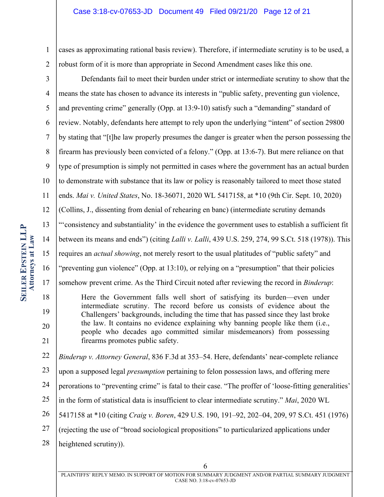1 2 cases as approximating rational basis review). Therefore, if intermediate scrutiny is to be used, a robust form of it is more than appropriate in Second Amendment cases like this one.

3 4 5 6 7 8 9 10 11 12 13 14 15 16 17 18 19 20 21 22 Defendants fail to meet their burden under strict or intermediate scrutiny to show that the means the state has chosen to advance its interests in "public safety, preventing gun violence, and preventing crime" generally (Opp. at 13:9-10) satisfy such a "demanding" standard of review. Notably, defendants here attempt to rely upon the underlying "intent" of section 29800 by stating that "[t]he law properly presumes the danger is greater when the person possessing the firearm has previously been convicted of a felony." (Opp. at 13:6-7). But mere reliance on that type of presumption is simply not permitted in cases where the government has an actual burden to demonstrate with substance that its law or policy is reasonably tailored to meet those stated ends. *Mai v. United States*, No. 18-36071, 2020 WL 5417158, at \*10 (9th Cir. Sept. 10, 2020) (Collins, J., dissenting from denial of rehearing en banc) (intermediate scrutiny demands "'consistency and substantiality' in the evidence the government uses to establish a sufficient fit between its means and ends") (citing *Lalli v. Lalli*, 439 U.S. 259, 274, 99 S.Ct. 518 (1978)). This requires an *actual showing*, not merely resort to the usual platitudes of "public safety" and "preventing gun violence" (Opp. at 13:10), or relying on a "presumption" that their policies somehow prevent crime. As the Third Circuit noted after reviewing the record in *Binderup*: Here the Government falls well short of satisfying its burden—even under intermediate scrutiny. The record before us consists of evidence about the Challengers' backgrounds, including the time that has passed since they last broke the law. It contains no evidence explaining why banning people like them (i.e., people who decades ago committed similar misdemeanors) from possessing firearms promotes public safety. *Binderup v. Attorney General*, 836 F.3d at 353–54. Here, defendants' near-complete reliance

23 upon a supposed legal *presumption* pertaining to felon possession laws, and offering mere

24 perorations to "preventing crime" is fatal to their case. "The proffer of 'loose-fitting generalities'

25 in the form of statistical data is insufficient to clear intermediate scrutiny." *Mai*, 2020 WL

26 5417158 at \*10 (citing *Craig v. Boren*, 429 U.S. 190, 191–92, 202–04, 209, 97 S.Ct. 451 (1976)

27 (rejecting the use of "broad sociological propositions" to particularized applications under

28 heightened scrutiny)).

**LLP**

**Attorneys at Law**

**Attorneys at Law**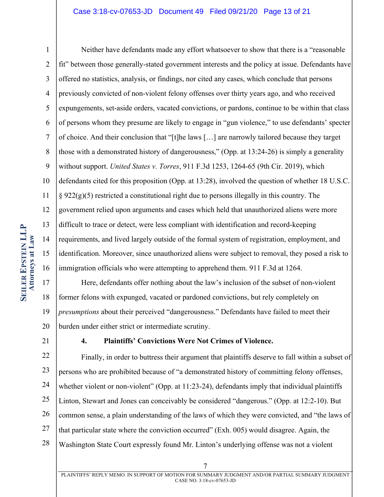#### Case 3:18-cv-07653-JD Document 49 Filed 09/21/20 Page 13 of 21

1 2 3 4 5 6 7 8 9 10 11 12 13 14 15 16 Neither have defendants made any effort whatsoever to show that there is a "reasonable fit" between those generally-stated government interests and the policy at issue. Defendants have offered no statistics, analysis, or findings, nor cited any cases, which conclude that persons previously convicted of non-violent felony offenses over thirty years ago, and who received expungements, set-aside orders, vacated convictions, or pardons, continue to be within that class of persons whom they presume are likely to engage in "gun violence," to use defendants' specter of choice. And their conclusion that "[t]he laws […] are narrowly tailored because they target those with a demonstrated history of dangerousness," (Opp. at 13:24-26) is simply a generality without support. *United States v. Torres*, 911 F.3d 1253, 1264-65 (9th Cir. 2019), which defendants cited for this proposition (Opp. at 13:28), involved the question of whether 18 U.S.C.  $\S 922(g)(5)$  restricted a constitutional right due to persons illegally in this country. The government relied upon arguments and cases which held that unauthorized aliens were more difficult to trace or detect, were less compliant with identification and record-keeping requirements, and lived largely outside of the formal system of registration, employment, and identification. Moreover, since unauthorized aliens were subject to removal, they posed a risk to immigration officials who were attempting to apprehend them. 911 F.3d at 1264.

17 18 19 20 Here, defendants offer nothing about the law's inclusion of the subset of non-violent former felons with expunged, vacated or pardoned convictions, but rely completely on *presumptions* about their perceived "dangerousness." Defendants have failed to meet their burden under either strict or intermediate scrutiny.

21

#### **4. Plaintiffs' Convictions Were Not Crimes of Violence.**

22 23 24 25 26 27 28 Finally, in order to buttress their argument that plaintiffs deserve to fall within a subset of persons who are prohibited because of "a demonstrated history of committing felony offenses, whether violent or non-violent" (Opp. at 11:23-24), defendants imply that individual plaintiffs Linton, Stewart and Jones can conceivably be considered "dangerous." (Opp. at 12:2-10). But common sense, a plain understanding of the laws of which they were convicted, and "the laws of that particular state where the conviction occurred" (Exh. 005) would disagree. Again, the Washington State Court expressly found Mr. Linton's underlying offense was not a violent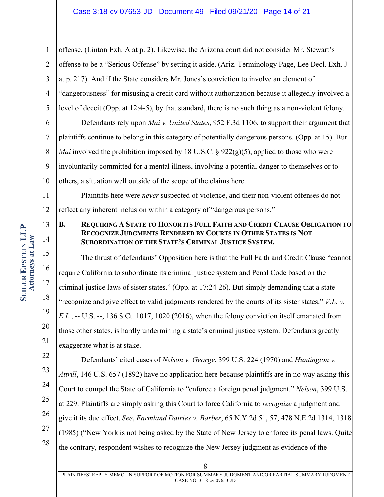1 2 3 4 5 6 7 8 9 10 11 12 13 14 15 16 17 18 19 20 21 offense. (Linton Exh. A at p. 2). Likewise, the Arizona court did not consider Mr. Stewart's offense to be a "Serious Offense" by setting it aside. (Ariz. Terminology Page, Lee Decl. Exh. J at p. 217). And if the State considers Mr. Jones's conviction to involve an element of "dangerousness" for misusing a credit card without authorization because it allegedly involved a level of deceit (Opp. at 12:4-5), by that standard, there is no such thing as a non-violent felony. Defendants rely upon *Mai v. United States*, 952 F.3d 1106, to support their argument that plaintiffs continue to belong in this category of potentially dangerous persons. (Opp. at 15). But *Mai* involved the prohibition imposed by 18 U.S.C. § 922(g)(5), applied to those who were involuntarily committed for a mental illness, involving a potential danger to themselves or to others, a situation well outside of the scope of the claims here. Plaintiffs here were *never* suspected of violence, and their non-violent offenses do not reflect any inherent inclusion within a category of "dangerous persons." **B. REQUIRING A STATE TO HONOR ITS FULL FAITH AND CREDIT CLAUSE OBLIGATION TO RECOGNIZE JUDGMENTS RENDERED BY COURTS IN OTHER STATES IS NOT SUBORDINATION OF THE STATE'S CRIMINAL JUSTICE SYSTEM.** The thrust of defendants' Opposition here is that the Full Faith and Credit Clause "cannot require California to subordinate its criminal justice system and Penal Code based on the criminal justice laws of sister states." (Opp. at 17:24-26). But simply demanding that a state "recognize and give effect to valid judgments rendered by the courts of its sister states," *V.L. v. E.L.*, -- U.S. --, 136 S.Ct. 1017, 1020 (2016), when the felony conviction itself emanated from those other states, is hardly undermining a state's criminal justice system. Defendants greatly

22 23 24 25 26 27 28 Defendants' cited cases of *Nelson v. George*, 399 U.S. 224 (1970) and *Huntington v. Attrill*, 146 U.S. 657 (1892) have no application here because plaintiffs are in no way asking this Court to compel the State of California to "enforce a foreign penal judgment." *Nelson*, 399 U.S. at 229. Plaintiffs are simply asking this Court to force California to *recognize* a judgment and give it its due effect. *See*, *Farmland Dairies v. Barber*, 65 N.Y.2d 51, 57, 478 N.E.2d 1314, 1318 (1985) ("New York is not being asked by the State of New Jersey to enforce its penal laws. Quite the contrary, respondent wishes to recognize the New Jersey judgment as evidence of the

exaggerate what is at stake.

PLAINTIFFS' REPLY MEMO. IN SUPPORT OF MOTION FOR SUMMARY JUDGMENT AND/OR PARTIAL SUMMARY JUDGMENT CASE NO. 3:18-cv-07653-JD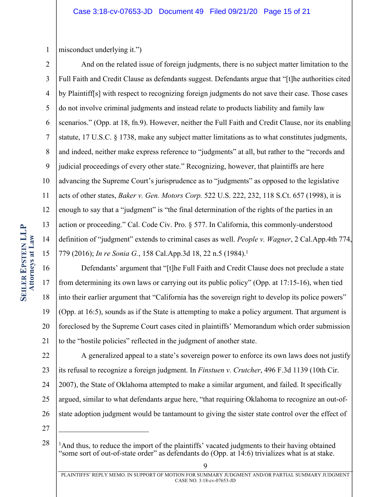1 misconduct underlying it.")

2 3 4 5 6 7 8 9 10 11 12 13 14 15 And on the related issue of foreign judgments, there is no subject matter limitation to the Full Faith and Credit Clause as defendants suggest. Defendants argue that "[t]he authorities cited by Plaintiff[s] with respect to recognizing foreign judgments do not save their case. Those cases do not involve criminal judgments and instead relate to products liability and family law scenarios." (Opp. at 18, fn.9). However, neither the Full Faith and Credit Clause, nor its enabling statute, 17 U.S.C. § 1738, make any subject matter limitations as to what constitutes judgments, and indeed, neither make express reference to "judgments" at all, but rather to the "records and judicial proceedings of every other state." Recognizing, however, that plaintiffs are here advancing the Supreme Court's jurisprudence as to "judgments" as opposed to the legislative acts of other states, *Baker v. Gen. Motors Corp.* 522 U.S. 222, 232, 118 S.Ct. 657 (1998), it is enough to say that a "judgment" is "the final determination of the rights of the parties in an action or proceeding." Cal. Code Civ. Pro. § 577. In California, this commonly-understood definition of "judgment" extends to criminal cases as well. *People v. Wagner*, 2 Cal.App.4th 774, 779 (2016); *In re Sonia G.*, 158 Cal.App.3d 18, 22 n.5 (1984). 1

16 17 18 19 20 21 Defendants' argument that "[t]he Full Faith and Credit Clause does not preclude a state from determining its own laws or carrying out its public policy" (Opp. at 17:15-16), when tied into their earlier argument that "California has the sovereign right to develop its police powers" (Opp. at 16:5), sounds as if the State is attempting to make a policy argument. That argument is foreclosed by the Supreme Court cases cited in plaintiffs' Memorandum which order submission to the "hostile policies" reflected in the judgment of another state.

22 23 24 25 26 A generalized appeal to a state's sovereign power to enforce its own laws does not justify its refusal to recognize a foreign judgment. In *Finstuen v. Crutcher*, 496 F.3d 1139 (10th Cir. 2007), the State of Oklahoma attempted to make a similar argument, and failed. It specifically argued, similar to what defendants argue here, "that requiring Oklahoma to recognize an out-ofstate adoption judgment would be tantamount to giving the sister state control over the effect of

<sup>28</sup> <sup>1</sup>And thus, to reduce the import of the plaintiffs' vacated judgments to their having obtained "some sort of out-of-state order" as defendants do (Opp. at 14:6) trivializes what is at stake.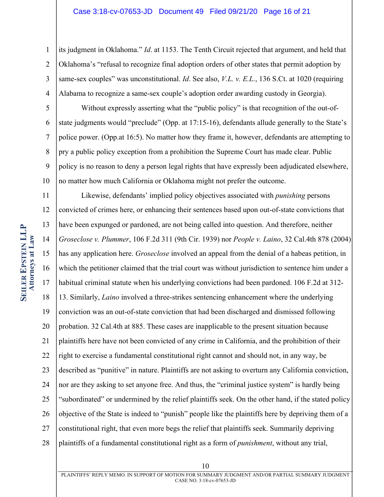#### Case 3:18-cv-07653-JD Document 49 Filed 09/21/20 Page 16 of 21

1 2 3 4 its judgment in Oklahoma." *Id*. at 1153. The Tenth Circuit rejected that argument, and held that Oklahoma's "refusal to recognize final adoption orders of other states that permit adoption by same-sex couples" was unconstitutional. *Id*. See also, *V.L. v. E.L.*, 136 S.Ct. at 1020 (requiring Alabama to recognize a same-sex couple's adoption order awarding custody in Georgia).

5 6 7 8 9 10 Without expressly asserting what the "public policy" is that recognition of the out-ofstate judgments would "preclude" (Opp. at 17:15-16), defendants allude generally to the State's police power. (Opp.at 16:5). No matter how they frame it, however, defendants are attempting to pry a public policy exception from a prohibition the Supreme Court has made clear. Public policy is no reason to deny a person legal rights that have expressly been adjudicated elsewhere, no matter how much California or Oklahoma might not prefer the outcome.

11 12 13 14 15 16 17 18 19 20 21 22 23 24 25 26 27 28 Likewise, defendants' implied policy objectives associated with *punishing* persons convicted of crimes here, or enhancing their sentences based upon out-of-state convictions that have been expunged or pardoned, are not being called into question. And therefore, neither *Groseclose v. Plummer*, 106 F.2d 311 (9th Cir. 1939) nor *People v. Laino*, 32 Cal.4th 878 (2004) has any application here. *Groseclose* involved an appeal from the denial of a habeas petition, in which the petitioner claimed that the trial court was without jurisdiction to sentence him under a habitual criminal statute when his underlying convictions had been pardoned. 106 F.2d at 312- 13. Similarly, *Laino* involved a three-strikes sentencing enhancement where the underlying conviction was an out-of-state conviction that had been discharged and dismissed following probation. 32 Cal.4th at 885. These cases are inapplicable to the present situation because plaintiffs here have not been convicted of any crime in California, and the prohibition of their right to exercise a fundamental constitutional right cannot and should not, in any way, be described as "punitive" in nature. Plaintiffs are not asking to overturn any California conviction, nor are they asking to set anyone free. And thus, the "criminal justice system" is hardly being "subordinated" or undermined by the relief plaintiffs seek. On the other hand, if the stated policy objective of the State is indeed to "punish" people like the plaintiffs here by depriving them of a constitutional right, that even more begs the relief that plaintiffs seek. Summarily depriving plaintiffs of a fundamental constitutional right as a form of *punishment*, without any trial,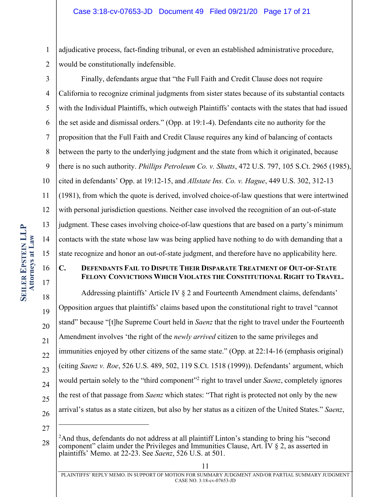1 2 adjudicative process, fact-finding tribunal, or even an established administrative procedure, would be constitutionally indefensible.

3 4 5 6 7 8 9 10 11 12 13 14 15 Finally, defendants argue that "the Full Faith and Credit Clause does not require California to recognize criminal judgments from sister states because of its substantial contacts with the Individual Plaintiffs, which outweigh Plaintiffs' contacts with the states that had issued the set aside and dismissal orders." (Opp. at 19:1-4). Defendants cite no authority for the proposition that the Full Faith and Credit Clause requires any kind of balancing of contacts between the party to the underlying judgment and the state from which it originated, because there is no such authority. *Phillips Petroleum Co. v. Shutts*, 472 U.S. 797, 105 S.Ct. 2965 (1985), cited in defendants' Opp. at 19:12-15, and *Allstate Ins. Co. v. Hague*, 449 U.S. 302, 312-13 (1981), from which the quote is derived, involved choice-of-law questions that were intertwined with personal jurisdiction questions. Neither case involved the recognition of an out-of-state judgment. These cases involving choice-of-law questions that are based on a party's minimum contacts with the state whose law was being applied have nothing to do with demanding that a state recognize and honor an out-of-state judgment, and therefore have no applicability here.

### **C. DEFENDANTS FAIL TO DISPUTE THEIR DISPARATE TREATMENT OF OUT-OF-STATE FELONY CONVICTIONS WHICH VIOLATES THE CONSTITUTIONAL RIGHT TO TRAVEL.**

18 19 20 21 22 23 24 25 26 Addressing plaintiffs' Article IV § 2 and Fourteenth Amendment claims, defendants' Opposition argues that plaintiffs' claims based upon the constitutional right to travel "cannot stand" because "[t]he Supreme Court held in *Saenz* that the right to travel under the Fourteenth Amendment involves 'the right of the *newly arrived* citizen to the same privileges and immunities enjoyed by other citizens of the same state." (Opp. at 22:14-16 (emphasis original) (citing *Saenz v. Roe*, 526 U.S. 489, 502, 119 S.Ct. 1518 (1999)). Defendants' argument, which would pertain solely to the "third component"2 right to travel under *Saenz*, completely ignores the rest of that passage from *Saenz* which states: "That right is protected not only by the new arrival's status as a state citizen, but also by her status as a citizen of the United States." *Saenz*,

27

16

<sup>28</sup>  $2$ And thus, defendants do not address at all plaintiff Linton's standing to bring his "second" component" claim under the Privileges and Immunities Clause, Art. IV  $\S$  2, as asserted in plaintiffs' Memo. at 22-23. See *Saenz*, 526 U.S. at 501.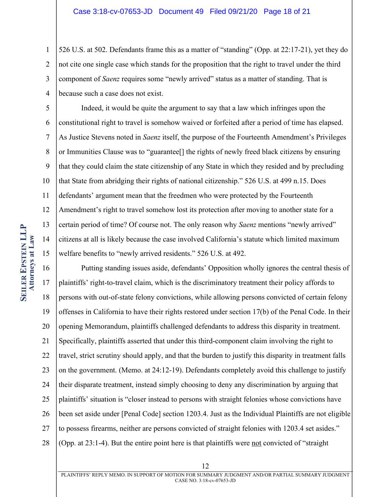1 2 3 4 526 U.S. at 502. Defendants frame this as a matter of "standing" (Opp. at 22:17-21), yet they do not cite one single case which stands for the proposition that the right to travel under the third component of *Saenz* requires some "newly arrived" status as a matter of standing. That is because such a case does not exist.

5 6 7 8 9 10 11 12 13 14 15 Indeed, it would be quite the argument to say that a law which infringes upon the constitutional right to travel is somehow waived or forfeited after a period of time has elapsed. As Justice Stevens noted in *Saenz* itself, the purpose of the Fourteenth Amendment's Privileges or Immunities Clause was to "guarantee[] the rights of newly freed black citizens by ensuring that they could claim the state citizenship of any State in which they resided and by precluding that State from abridging their rights of national citizenship." 526 U.S. at 499 n.15. Does defendants' argument mean that the freedmen who were protected by the Fourteenth Amendment's right to travel somehow lost its protection after moving to another state for a certain period of time? Of course not. The only reason why *Saenz* mentions "newly arrived" citizens at all is likely because the case involved California's statute which limited maximum welfare benefits to "newly arrived residents." 526 U.S. at 492.

16 17 18 19 20 21 22 23 24 25 26 27 28 Putting standing issues aside, defendants' Opposition wholly ignores the central thesis of plaintiffs' right-to-travel claim, which is the discriminatory treatment their policy affords to persons with out-of-state felony convictions, while allowing persons convicted of certain felony offenses in California to have their rights restored under section 17(b) of the Penal Code. In their opening Memorandum, plaintiffs challenged defendants to address this disparity in treatment. Specifically, plaintiffs asserted that under this third-component claim involving the right to travel, strict scrutiny should apply, and that the burden to justify this disparity in treatment falls on the government. (Memo. at 24:12-19). Defendants completely avoid this challenge to justify their disparate treatment, instead simply choosing to deny any discrimination by arguing that plaintiffs' situation is "closer instead to persons with straight felonies whose convictions have been set aside under [Penal Code] section 1203.4. Just as the Individual Plaintiffs are not eligible to possess firearms, neither are persons convicted of straight felonies with 1203.4 set asides." (Opp. at 23:1-4). But the entire point here is that plaintiffs were not convicted of "straight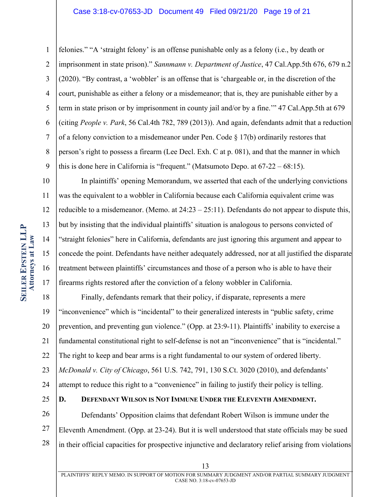#### Case 3:18-cv-07653-JD Document 49 Filed 09/21/20 Page 19 of 21

1 2 3 4 5 6 7 8 9 felonies." "A 'straight felony' is an offense punishable only as a felony (i.e., by death or imprisonment in state prison)." *Sannmann v. Department of Justice*, 47 Cal.App.5th 676, 679 n.2 (2020). "By contrast, a 'wobbler' is an offense that is 'chargeable or, in the discretion of the court, punishable as either a felony or a misdemeanor; that is, they are punishable either by a term in state prison or by imprisonment in county jail and/or by a fine.'" 47 Cal.App.5th at 679 (citing *People v. Park*, 56 Cal.4th 782, 789 (2013)). And again, defendants admit that a reduction of a felony conviction to a misdemeanor under Pen. Code § 17(b) ordinarily restores that person's right to possess a firearm (Lee Decl. Exh. C at p. 081), and that the manner in which this is done here in California is "frequent." (Matsumoto Depo. at  $67-22-68:15$ ).

10 11 12 13 14 15 16 17 In plaintiffs' opening Memorandum, we asserted that each of the underlying convictions was the equivalent to a wobbler in California because each California equivalent crime was reducible to a misdemeanor. (Memo. at  $24:23 - 25:11$ ). Defendants do not appear to dispute this, but by insisting that the individual plaintiffs' situation is analogous to persons convicted of "straight felonies" here in California, defendants are just ignoring this argument and appear to concede the point. Defendants have neither adequately addressed, nor at all justified the disparate treatment between plaintiffs' circumstances and those of a person who is able to have their firearms rights restored after the conviction of a felony wobbler in California.

18 19 20 21 22 23 24 Finally, defendants remark that their policy, if disparate, represents a mere "inconvenience" which is "incidental" to their generalized interests in "public safety, crime prevention, and preventing gun violence." (Opp. at 23:9-11). Plaintiffs' inability to exercise a fundamental constitutional right to self-defense is not an "inconvenience" that is "incidental." The right to keep and bear arms is a right fundamental to our system of ordered liberty. *McDonald v. City of Chicago*, 561 U.S. 742, 791, 130 S.Ct. 3020 (2010), and defendants' attempt to reduce this right to a "convenience" in failing to justify their policy is telling.

25

### **D. DEFENDANT WILSON IS NOT IMMUNE UNDER THE ELEVENTH AMENDMENT.**

26 27 28 Defendants' Opposition claims that defendant Robert Wilson is immune under the Eleventh Amendment. (Opp. at 23-24). But it is well understood that state officials may be sued in their official capacities for prospective injunctive and declaratory relief arising from violations

PLAINTIFFS' REPLY MEMO. IN SUPPORT OF MOTION FOR SUMMARY JUDGMENT AND/OR PARTIAL SUMMARY JUDGMENT CASE NO. 3:18-cv-07653-JD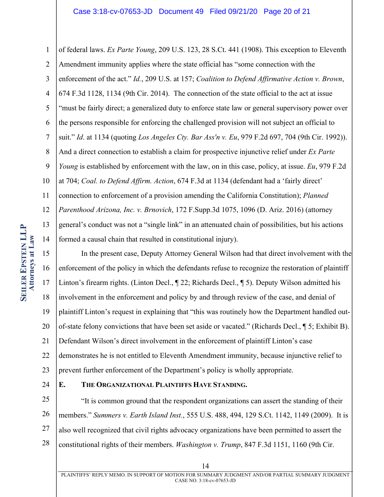1 2 3 4 5 6 7 8 9 10 11 12 13 14 15 of federal laws. *Ex Parte Young*, 209 U.S. 123, 28 S.Ct. 441 (1908). This exception to Eleventh Amendment immunity applies where the state official has "some connection with the enforcement of the act." *Id.*, 209 U.S. at 157; *Coalition to Defend Affirmative Action v. Brown*, 674 F.3d 1128, 1134 (9th Cir. 2014). The connection of the state official to the act at issue "must be fairly direct; a generalized duty to enforce state law or general supervisory power over the persons responsible for enforcing the challenged provision will not subject an official to suit." *Id*. at 1134 (quoting *Los Angeles Cty. Bar Ass'n v. Eu*, 979 F.2d 697, 704 (9th Cir. 1992)). And a direct connection to establish a claim for prospective injunctive relief under *Ex Parte Young* is established by enforcement with the law, on in this case, policy, at issue. *Eu*, 979 F.2d at 704; *Coal. to Defend Affirm. Action*, 674 F.3d at 1134 (defendant had a 'fairly direct' connection to enforcement of a provision amending the California Constitution); *Planned Parenthood Arizona, Inc. v. Brnovich*, 172 F.Supp.3d 1075, 1096 (D. Ariz. 2016) (attorney general's conduct was not a "single link" in an attenuated chain of possibilities, but his actions formed a causal chain that resulted in constitutional injury). In the present case, Deputy Attorney General Wilson had that direct involvement with the

16 17 18 19 20 21 22 23 enforcement of the policy in which the defendants refuse to recognize the restoration of plaintiff Linton's firearm rights. (Linton Decl., ¶ 22; Richards Decl., ¶ 5). Deputy Wilson admitted his involvement in the enforcement and policy by and through review of the case, and denial of plaintiff Linton's request in explaining that "this was routinely how the Department handled outof-state felony convictions that have been set aside or vacated." (Richards Decl., ¶ 5; Exhibit B). Defendant Wilson's direct involvement in the enforcement of plaintiff Linton's case demonstrates he is not entitled to Eleventh Amendment immunity, because injunctive relief to prevent further enforcement of the Department's policy is wholly appropriate.

24

### **E. THE ORGANIZATIONAL PLAINTIFFS HAVE STANDING.**

25 26 27 28 "It is common ground that the respondent organizations can assert the standing of their members." *Summers v. Earth Island Inst.*, 555 U.S. 488, 494, 129 S.Ct. 1142, 1149 (2009). It is also well recognized that civil rights advocacy organizations have been permitted to assert the constitutional rights of their members. *Washington v. Trump*, 847 F.3d 1151, 1160 (9th Cir.

PLAINTIFFS' REPLY MEMO. IN SUPPORT OF MOTION FOR SUMMARY JUDGMENT AND/OR PARTIAL SUMMARY JUDGMENT CASE NO. 3:18-cv-07653-JD